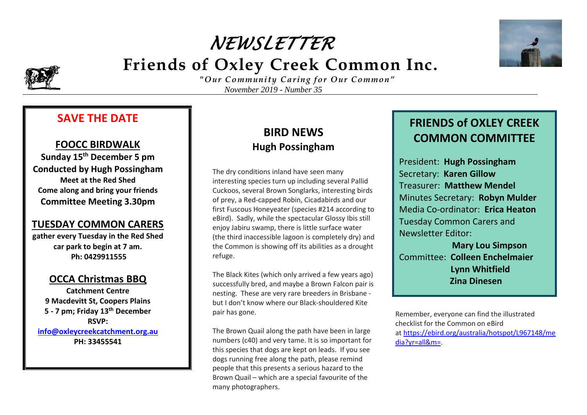# *NEWSLETTER*   **Friends of Oxley Creek Common Inc.**



*"Our "Our Community Caring for Our Common" November 2019 - Number 35*

#### **SAVE THE DATE**

#### **FOOCC BIRDWALK**

**Sunday 15th December 5 pm Conducted by Hugh Possingham Meet at the Red Shed Come along and bring your friends Committee Meeting 3.30pm**

#### **TUESDAY COMMON CARERS**

**gather every Tuesday in the Red Shed car park to begin at 7 am. Ph: 0429911555**

#### **OCCA Christmas BBQ**

**Catchment Centre 9 Macdevitt St, Coopers Plains 5 - 7 pm; Friday 13th December RSVP: [info@oxleycreekcatchment.org.au](mailto:info@oxleycreekcatchment.org.au)**

**PH: 33455541**

# **BIRD NEWS Hugh Possingham**

The dry conditions inland have seen many interesting species turn up including several Pallid Cuckoos, several Brown Songlarks, interesting birds of prey, a Red-capped Robin, Cicadabirds and our first Fuscous Honeyeater (species #214 according to eBird). Sadly, while the spectacular Glossy Ibis still enjoy Jabiru swamp, there is little surface water (the third inaccessible lagoon is completely dry) and the Common is showing off its abilities as a drought refuge.

The Black Kites (which only arrived a few years ago) successfully bred, and maybe a Brown Falcon pair is nesting. These are very rare breeders in Brisbane but I don't know where our Black-shouldered Kite pair has gone.

The Brown Quail along the path have been in large numbers (c40) and very tame. It is so important for this species that dogs are kept on leads. If you see dogs running free along the path, please remind people that this presents a serious hazard to the Brown Quail – which are a special favourite of the many photographers.



President: **Hugh Possingham** Secretary: **Karen Gillow** Treasurer: **Matthew Mendel** Minutes Secretary: **Robyn Mulder** Media Co-ordinator: **Erica Heaton** Tuesday Common Carers and Newsletter Editor: **Mary Lou Simpson** Committee: **Colleen Enchelmaier**

 **Lynn Whitfield Zina Dinesen**

Remember, everyone can find the illustrated checklist for the Common on eBird at [https://ebird.org/australia/hotspot/L967148/me](https://eur04.safelinks.protection.outlook.com/?url=https%3A%2F%2Febird.org%2Faustralia%2Fhotspot%2FL967148%2Fmedia%3Fyr%3Dall%26m%3D&data=02%7C01%7C%7C57cd82d20b6b4a97aac508d76c21443f%7C84df9e7fe9f640afb435aaaaaaaaaaaa%7C1%7C0%7C637096762979563908&sdata=dYdLGmNR0GXr%2B8w9ZIm0PXRgD%2B0t8U6CR%2FTjYYpIKus%3D&reserved=0) [dia?yr=all&m=.](https://eur04.safelinks.protection.outlook.com/?url=https%3A%2F%2Febird.org%2Faustralia%2Fhotspot%2FL967148%2Fmedia%3Fyr%3Dall%26m%3D&data=02%7C01%7C%7C57cd82d20b6b4a97aac508d76c21443f%7C84df9e7fe9f640afb435aaaaaaaaaaaa%7C1%7C0%7C637096762979563908&sdata=dYdLGmNR0GXr%2B8w9ZIm0PXRgD%2B0t8U6CR%2FTjYYpIKus%3D&reserved=0)

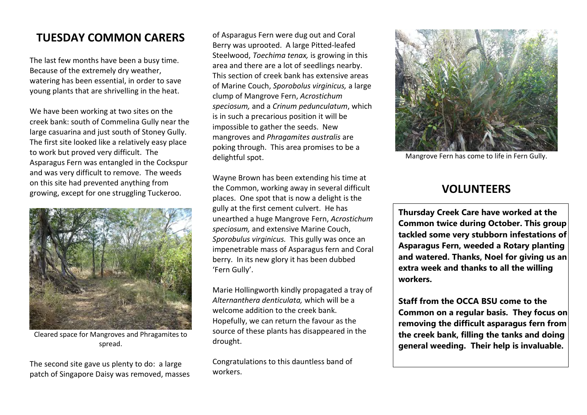## **TUESDAY COMMON CARERS**

The last few months have been a busy time. Because of the extremely dry weather, watering has been essential, in order to save young plants that are shrivelling in the heat.

We have been working at two sites on the creek bank: south of Commelina Gully near the large casuarina and just south of Stoney Gully. The first site looked like a relatively easy place to work but proved very difficult. The Asparagus Fern was entangled in the Cockspur and was very difficult to remove. The weeds on this site had prevented anything from growing, except for one struggling Tuckeroo.



Cleared space for Mangroves and Phragamites to spread.

The second site gave us plenty to do: a large patch of Singapore Daisy was removed, masses

of Asparagus Fern were dug out and Coral Berry was uprooted. A large Pitted-leafed Steelwood, *Toechima tenax,* is growing in this area and there are a lot of seedlings nearby. This section of creek bank has extensive areas of Marine Couch, *Sporobolus virginicus,* a large clump of Mangrove Fern, *Acrostichum speciosum,* and a *Crinum pedunculatum*, which is in such a precarious position it will be impossible to gather the seeds. New mangroves and *Phragamites australis* are poking through. This area promises to be a delightful spot.

Wayne Brown has been extending his time at the Common, working away in several difficult places. One spot that is now a delight is the gully at the first cement culvert. He has unearthed a huge Mangrove Fern, *Acrostichum speciosum,* and extensive Marine Couch, *Sporobulus virginicus.* This gully was once an impenetrable mass of Asparagus fern and Coral berry. In its new glory it has been dubbed 'Fern Gully'.

Marie Hollingworth kindly propagated a tray of *Alternanthera denticulata,* which will be a welcome addition to the creek bank. Hopefully, we can return the favour as the source of these plants has disappeared in the drought.

Congratulations to this dauntless band of workers.



Mangrove Fern has come to life in Fern Gully.

## **VOLUNTEERS**

**Thursday Creek Care have worked at the Common twice during October. This group tackled some very stubborn infestations of Asparagus Fern, weeded a Rotary planting and watered. Thanks, Noel for giving us an extra week and thanks to all the willing workers.** 

**Staff from the OCCA BSU come to the**  Common on a regular basis. They focus on **removing the difficult asparagus fern from the creek bank, filling the tanks and doing general weeding. Their help is invaluable.**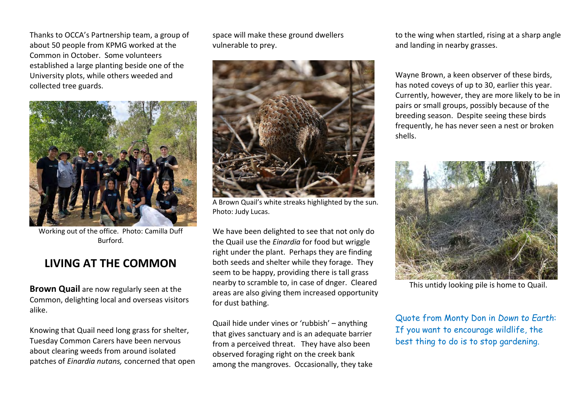Thanks to OCCA's Partnership team, a group of about 50 people from KPMG worked at the Common in October. Some volunteers established a large planting beside one of the University plots, while others weeded and collected tree guards.



Working out of the office. Photo: Camilla Duff Burford.

## **LIVING AT THE COMMON**

**Brown Quail** are now regularly seen at the Common, delighting local and overseas visitors alike.

Knowing that Quail need long grass for shelter, Tuesday Common Carers have been nervous about clearing weeds from around isolated patches of *Einardia nutans,* concerned that open space will make these ground dwellers vulnerable to prey.



A Brown Quail's white streaks highlighted by the sun. Photo: Judy Lucas.

We have been delighted to see that not only do the Quail use the *Einardia* for food but wriggle right under the plant. Perhaps they are finding both seeds and shelter while they forage. They seem to be happy, providing there is tall grass nearby to scramble to, in case of dnger. Cleared areas are also giving them increased opportunity for dust bathing.

Quail hide under vines or 'rubbish' – anything that gives sanctuary and is an adequate barrier from a perceived threat. They have also been observed foraging right on the creek bank among the mangroves. Occasionally, they take to the wing when startled, rising at a sharp angle and landing in nearby grasses.

Wayne Brown, a keen observer of these birds, has noted coveys of up to 30, earlier this year. Currently, however, they are more likely to be in pairs or small groups, possibly because of the breeding season. Despite seeing these birds frequently, he has never seen a nest or broken shells.



This untidy looking pile is home to Quail.

Quote from Monty Don in *Down to Earth*: If you want to encourage wildlife, the best thing to do is to stop gardening.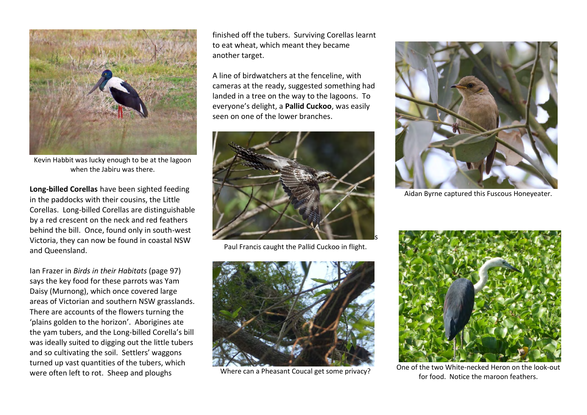

Kevin Habbit was lucky enough to be at the lagoon when the Jabiru was there.

**Long-billed Corellas** have been sighted feeding in the paddocks with their cousins, the Little Corellas. Long-billed Corellas are distinguishable by a red crescent on the neck and red feathers behind the bill. Once, found only in south-west Victoria, they can now be found in coastal NSW and Queensland.

Ian Frazer in *Birds in their Habitats* (page 97) says the key food for these parrots was Yam Daisy (Murnong), which once covered large areas of Victorian and southern NSW grasslands. There are accounts of the flowers turning the 'plains golden to the horizon'. Aborigines ate the yam tubers, and the Long-billed Corella's bill was ideally suited to digging out the little tubers and so cultivating the soil. Settlers' waggons turned up vast quantities of the tubers, which were often left to rot. Sheep and ploughs

finished off the tubers. Surviving Corellas learnt to eat wheat, which meant they became another target.

A line of birdwatchers at the fenceline, with cameras at the ready, suggested something had landed in a tree on the way to the lagoons. To everyone's delight, a **Pallid Cuckoo**, was easily seen on one of the lower branches.



Paul Francis caught the Pallid Cuckoo in flight.



Where can a Pheasant Coucal get some privacy?



Aidan Byrne captured this Fuscous Honeyeater.



One of the two White-necked Heron on the look-out for food. Notice the maroon feathers.